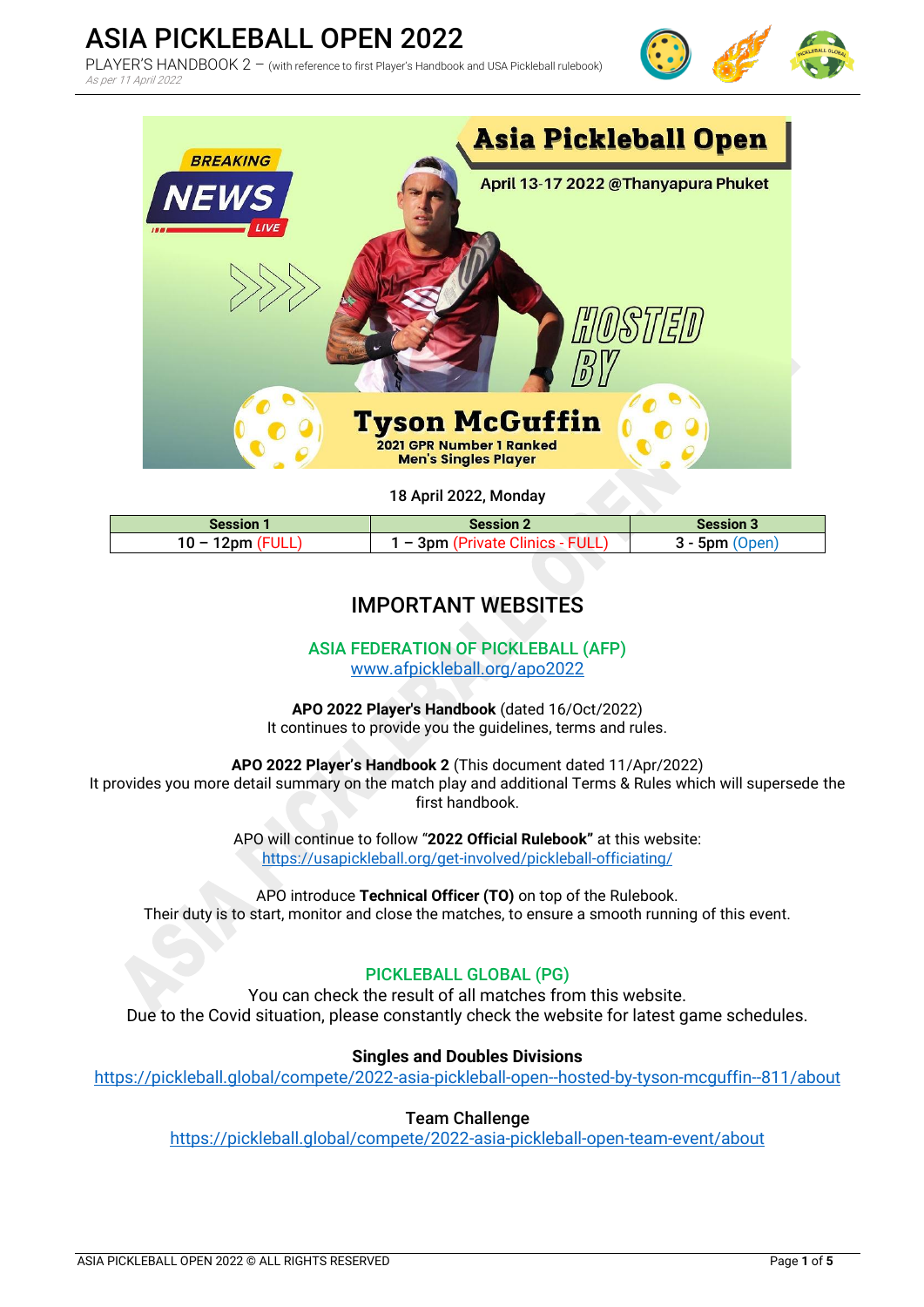Tyson McGuffin

18 April 2022, Monday

2021 GPR Number 1 Ranked Men's Singles Player

| <b>Session 1</b> | <b>Session 2</b>                         | Session 3   |  |  |  |
|------------------|------------------------------------------|-------------|--|--|--|
| $10 -$<br>12nm   | FULL,<br>Зpm<br>$\overline{\phantom{a}}$ | 5nm<br>)nen |  |  |  |

# IMPORTANT WEBSITES

ASIA FEDERATION OF PICKLEBALL (AFP) [www.afpickleball.org/apo2022](http://www.afpickleball.org/apo2022)

**APO 2022 Player's Handbook** (dated 16/Oct/2022) It continues to provide you the guidelines, terms and rules.

**APO 2022 Player's Handbook 2** (This document dated 11/Apr/2022) It provides you more detail summary on the match play and additional Terms & Rules which will supersede the first handbook.

> APO will continue to follow "**2022 Official Rulebook"** at this website: <https://usapickleball.org/get-involved/pickleball-officiating/>

APO introduce **Technical Officer (TO)** on top of the Rulebook. Their duty is to start, monitor and close the matches, to ensure a smooth running of this event.

### PICKLEBALL GLOBAL (PG)

You can check the result of all matches from this website. Due to the Covid situation, please constantly check the website for latest game schedules.

**Singles and Doubles Divisions**

<https://pickleball.global/compete/2022-asia-pickleball-open--hosted-by-tyson-mcguffin--811/about>

#### Team Challenge

<https://pickleball.global/compete/2022-asia-pickleball-open-team-event/about>







# ASIA PICKLEBALL OPEN 2022

As per 11 April 2022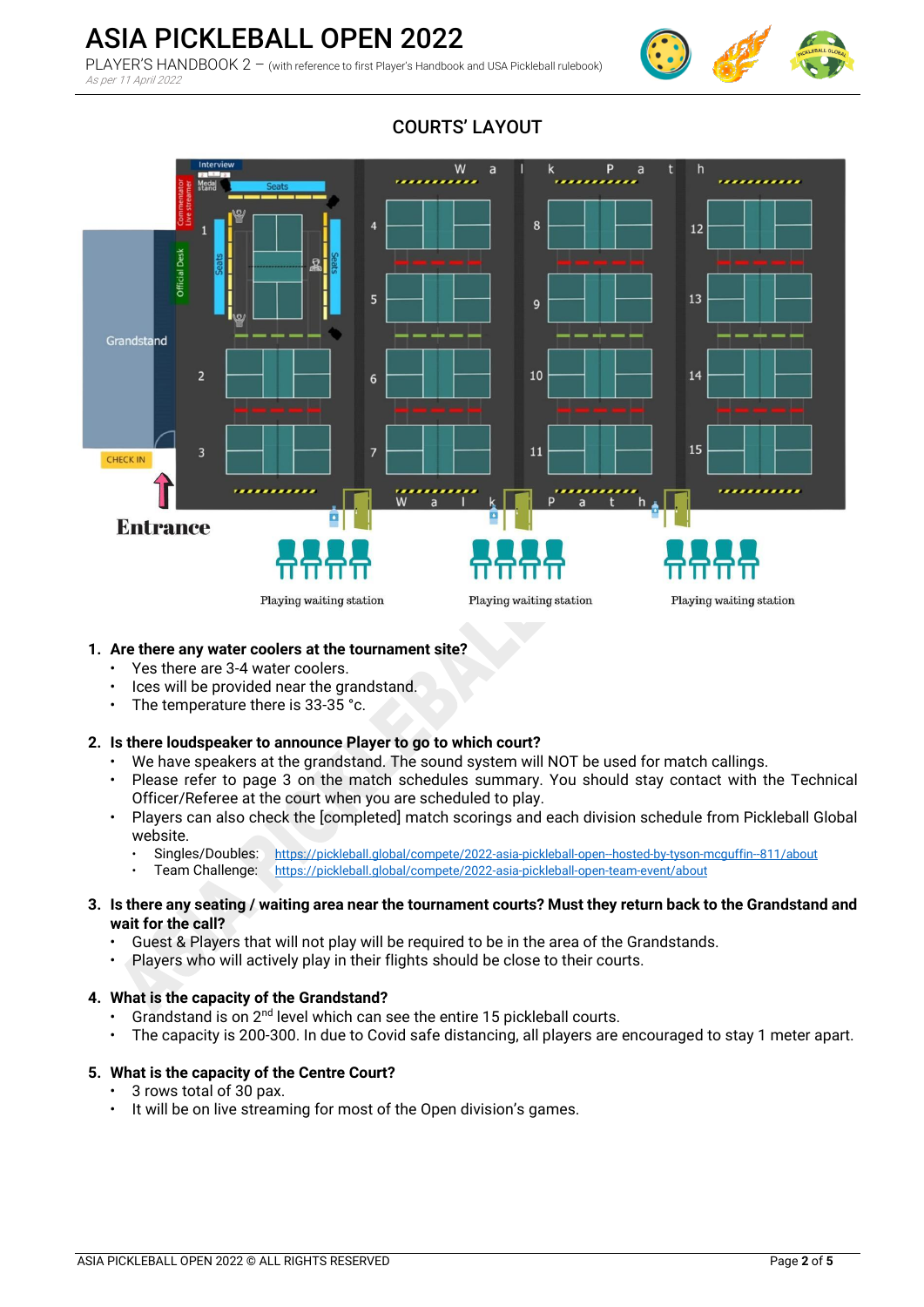

# ASIA PICKLEBALL OPEN 2022

PLAYER'S HANDBOOK 2 - (with reference to first Player's Handbook and USA Pickleball rulebook) As per 11 April 2022



### **1. Are there any water coolers at the tournament site?**

- Yes there are 3-4 water coolers.
- Ices will be provided near the grandstand.
- The temperature there is 33-35 °c.

### **2. Is there loudspeaker to announce Player to go to which court?**

- We have speakers at the grandstand. The sound system will NOT be used for match callings.
- Please refer to page 3 on the match schedules summary. You should stay contact with the Technical Officer/Referee at the court when you are scheduled to play.
- Players can also check the [completed] match scorings and each division schedule from Pickleball Global website.
	- Singles/Doubles: <https://pickleball.global/compete/2022-asia-pickleball-open--hosted-by-tyson-mcguffin--811/about>
	- Team Challenge: <https://pickleball.global/compete/2022-asia-pickleball-open-team-event/about>
- **3. Is there any seating / waiting area near the tournament courts? Must they return back to the Grandstand and wait for the call?**
	- Guest & Players that will not play will be required to be in the area of the Grandstands.
	- Players who will actively play in their flights should be close to their courts.

### **4. What is the capacity of the Grandstand?**

- Grandstand is on 2<sup>nd</sup> level which can see the entire 15 pickleball courts.
- The capacity is 200-300. In due to Covid safe distancing, all players are encouraged to stay 1 meter apart.

#### **5. What is the capacity of the Centre Court?**

- 3 rows total of 30 pax.
- It will be on live streaming for most of the Open division's games.

# COURTS' LAYOUT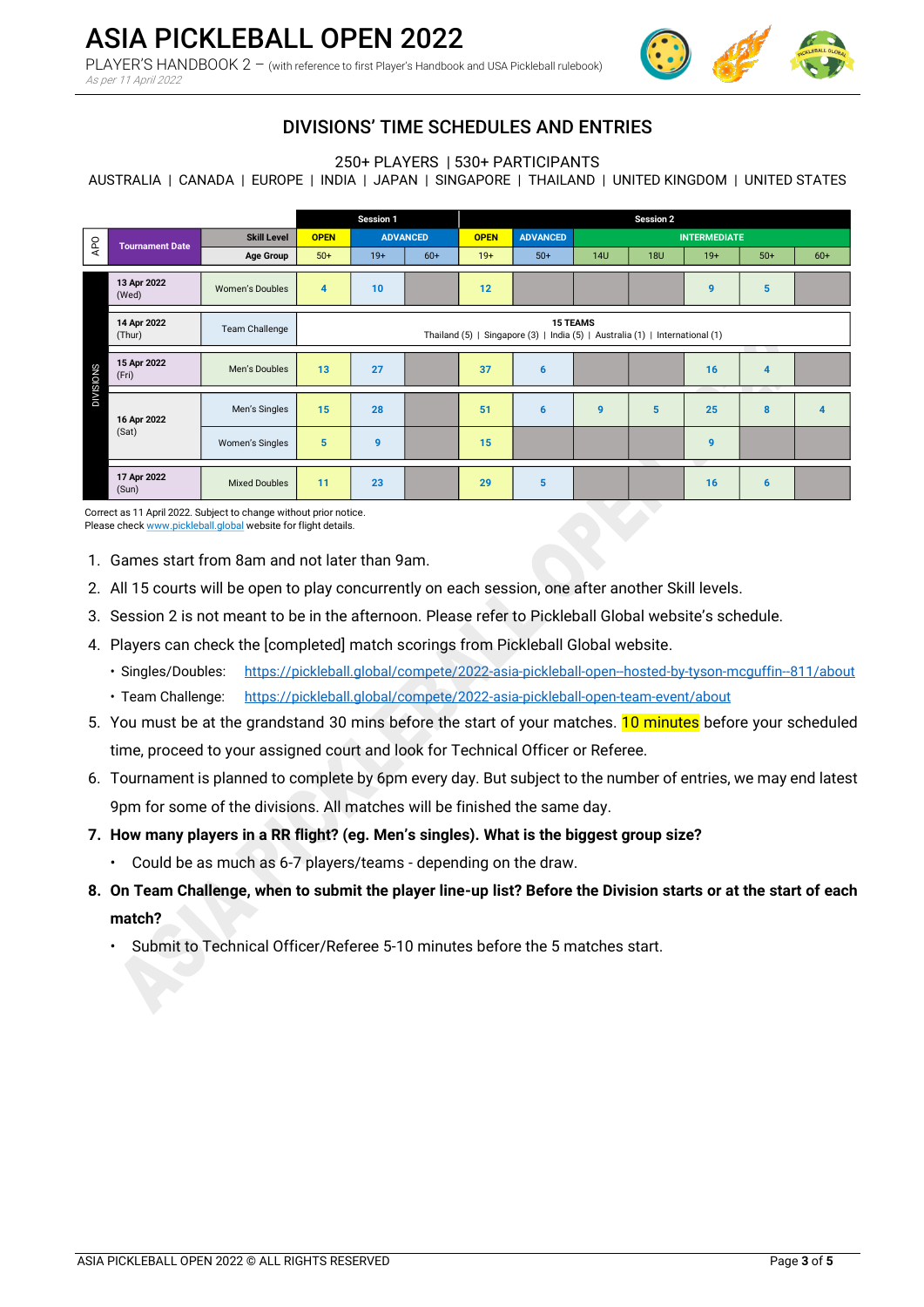

# DIVISIONS' TIME SCHEDULES AND ENTRIES

250+ PLAYERS | 530+ PARTICIPANTS

AUSTRALIA | CANADA | EUROPE | INDIA | JAPAN | SINGAPORE | THAILAND | UNITED KINGDOM | UNITED STATES

|                                                                                                                                     |                        |                        | Session 1                                                                                       |                 | <b>Session 2</b> |             |                 |                     |            |       |       |                         |
|-------------------------------------------------------------------------------------------------------------------------------------|------------------------|------------------------|-------------------------------------------------------------------------------------------------|-----------------|------------------|-------------|-----------------|---------------------|------------|-------|-------|-------------------------|
| APO                                                                                                                                 | <b>Tournament Date</b> | <b>Skill Level</b>     | <b>OPEN</b>                                                                                     | <b>ADVANCED</b> |                  | <b>OPEN</b> | <b>ADVANCED</b> | <b>INTERMEDIATE</b> |            |       |       |                         |
|                                                                                                                                     |                        | <b>Age Group</b>       | $50+$                                                                                           | $19+$           | $60+$            | $19+$       | $50+$           | <b>14U</b>          | <b>18U</b> | $19+$ | $50+$ | $60+$                   |
|                                                                                                                                     | 13 Apr 2022<br>(Wed)   | Women's Doubles        | $\overline{4}$                                                                                  | 10              |                  | 12          |                 |                     |            | 9     | 5     |                         |
|                                                                                                                                     | 14 Apr 2022<br>(Thur)  | <b>Team Challenge</b>  | <b>15 TEAMS</b><br>Thailand (5)   Singapore (3)   India (5)   Australia (1)   International (1) |                 |                  |             |                 |                     |            |       |       |                         |
| <b>DIVISIONS</b>                                                                                                                    | 15 Apr 2022<br>(Fri)   | Men's Doubles          | 13                                                                                              | 27              |                  | 37          | 6               |                     |            | 16    | 4     |                         |
|                                                                                                                                     | 16 Apr 2022            | Men's Singles          | 15                                                                                              | 28              |                  | 51          | $6\phantom{1}6$ | 9                   | 5          | 25    | 8     | $\overline{\mathbf{4}}$ |
|                                                                                                                                     | (Sat)                  | <b>Women's Singles</b> | 5                                                                                               | $\mathbf{9}$    |                  | 15          |                 |                     |            | 9     |       |                         |
|                                                                                                                                     | 17 Apr 2022<br>(Sun)   | <b>Mixed Doubles</b>   | 11                                                                                              | 23              |                  | 29          | 5               |                     |            | 16    | 6     |                         |
| Correct as 11 April 2022. Subject to change without prior notice.<br>Please check www.pickleball.global website for flight details. |                        |                        |                                                                                                 |                 |                  |             |                 |                     |            |       |       |                         |

- 1. Games start from 8am and not later than 9am.
- 2. All 15 courts will be open to play concurrently on each session, one after another Skill levels.
- 3. Session 2 is not meant to be in the afternoon. Please refer to Pickleball Global website's schedule.
- 4. Players can check the [completed] match scorings from Pickleball Global website.
	- Singles/Doubles: <https://pickleball.global/compete/2022-asia-pickleball-open--hosted-by-tyson-mcguffin--811/about>
	- Team Challenge: <https://pickleball.global/compete/2022-asia-pickleball-open-team-event/about>
- 5. You must be at the grandstand 30 mins before the start of your matches. **10 minutes** before your scheduled time, proceed to your assigned court and look for Technical Officer or Referee.
- 6. Tournament is planned to complete by 6pm every day. But subject to the number of entries, we may end latest 9pm for some of the divisions. All matches will be finished the same day.

### **7. How many players in a RR flight? (eg. Men's singles). What is the biggest group size?**

- Could be as much as 6-7 players/teams depending on the draw.
- **8. On Team Challenge, when to submit the player line-up list? Before the Division starts or at the start of each match?** 
	- Submit to Technical Officer/Referee 5-10 minutes before the 5 matches start.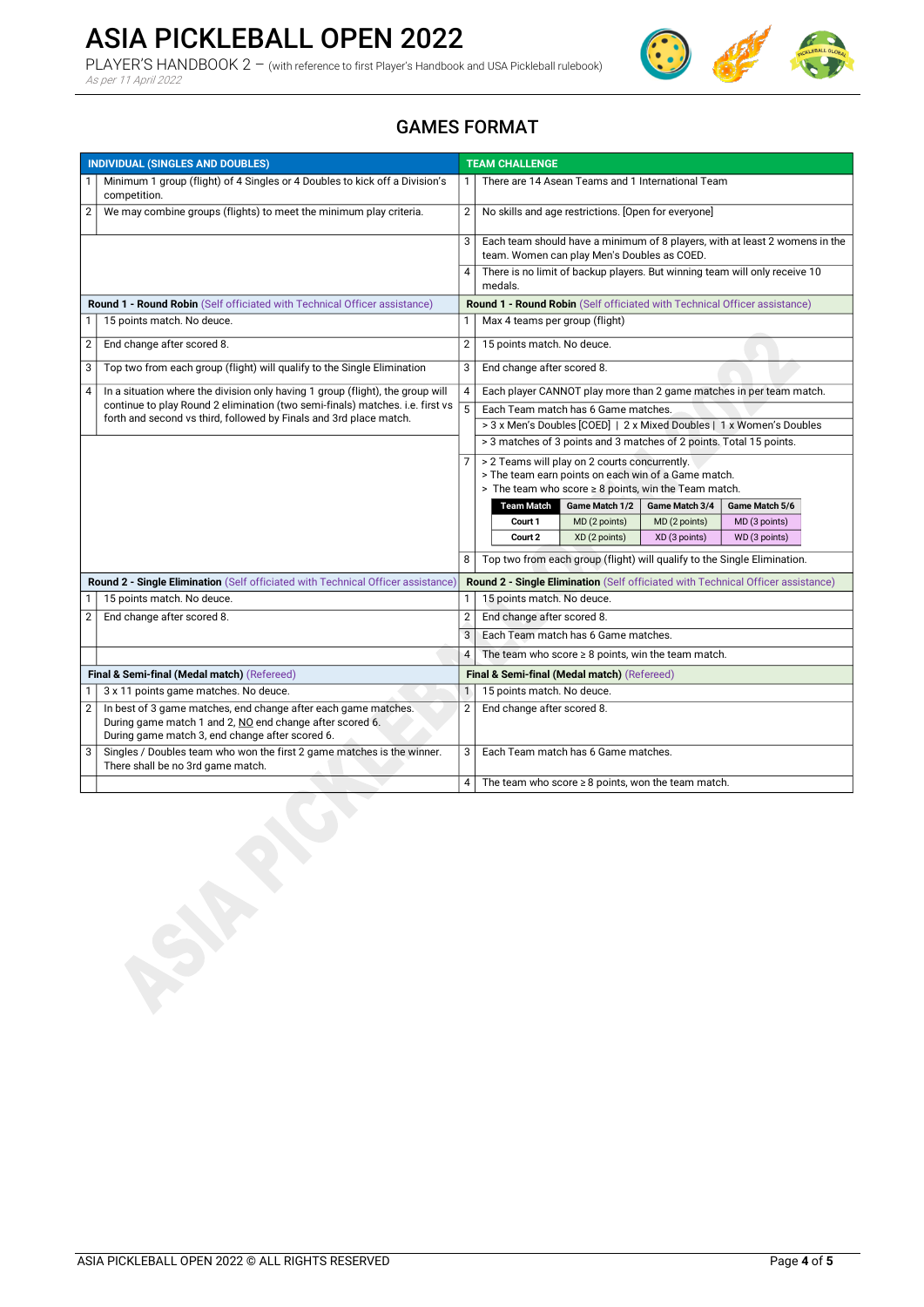# ASIA PICKLEBALL OPEN 2022

PLAYER'S HANDBOOK 2 – (with reference to first Player's Handbook and USA Pickleball rulebook) As per 11 April 2022



## GAMES FORMAT

| <b>INDIVIDUAL (SINGLES AND DOUBLES)</b>                                   |                                                                                                                                                     | <b>TEAM CHALLENGE</b>                       |                                                                                       |  |  |
|---------------------------------------------------------------------------|-----------------------------------------------------------------------------------------------------------------------------------------------------|---------------------------------------------|---------------------------------------------------------------------------------------|--|--|
| $\mathbf{1}$                                                              | Minimum 1 group (flight) of 4 Singles or 4 Doubles to kick off a Division's<br>competition.                                                         | 1                                           | There are 14 Asean Teams and 1 International Team                                     |  |  |
| $\overline{2}$                                                            | We may combine groups (flights) to meet the minimum play criteria.                                                                                  | $\overline{2}$                              | No skills and age restrictions. [Open for everyone]                                   |  |  |
|                                                                           |                                                                                                                                                     | 3                                           | Each team should have a minimum of 8 players, with at least 2 womens in the           |  |  |
|                                                                           |                                                                                                                                                     |                                             | team. Women can play Men's Doubles as COED.                                           |  |  |
|                                                                           |                                                                                                                                                     | 4                                           | There is no limit of backup players. But winning team will only receive 10<br>medals. |  |  |
| Round 1 - Round Robin (Self officiated with Technical Officer assistance) |                                                                                                                                                     |                                             | Round 1 - Round Robin (Self officiated with Technical Officer assistance)             |  |  |
| 1                                                                         | 15 points match. No deuce.                                                                                                                          | 1                                           | Max 4 teams per group (flight)                                                        |  |  |
| $\overline{2}$                                                            | End change after scored 8.                                                                                                                          | $\overline{2}$                              | 15 points match. No deuce.                                                            |  |  |
| 3                                                                         | Top two from each group (flight) will qualify to the Single Elimination                                                                             | 3                                           | End change after scored 8.                                                            |  |  |
| $\overline{4}$                                                            | In a situation where the division only having 1 group (flight), the group will                                                                      |                                             | Each player CANNOT play more than 2 game matches in per team match.                   |  |  |
|                                                                           | continue to play Round 2 elimination (two semi-finals) matches. i.e. first vs<br>forth and second vs third, followed by Finals and 3rd place match. | 5                                           | Each Team match has 6 Game matches.                                                   |  |  |
|                                                                           |                                                                                                                                                     |                                             | > 3 x Men's Doubles [COED]   2 x Mixed Doubles   1 x Women's Doubles                  |  |  |
|                                                                           |                                                                                                                                                     |                                             | > 3 matches of 3 points and 3 matches of 2 points. Total 15 points.                   |  |  |
|                                                                           |                                                                                                                                                     |                                             | > 2 Teams will play on 2 courts concurrently.                                         |  |  |
|                                                                           |                                                                                                                                                     |                                             | > The team earn points on each win of a Game match.                                   |  |  |
|                                                                           |                                                                                                                                                     |                                             | > The team who score $\geq 8$ points, win the Team match.                             |  |  |
|                                                                           |                                                                                                                                                     |                                             | <b>Team Match</b><br>Game Match 1/2<br>Game Match 3/4<br>Game Match 5/6               |  |  |
|                                                                           |                                                                                                                                                     |                                             | MD (2 points)<br>MD (2 points)<br>Court 1<br>MD (3 points)                            |  |  |
|                                                                           |                                                                                                                                                     |                                             | Court 2<br>XD (2 points)<br>XD (3 points)<br>WD (3 points)                            |  |  |
|                                                                           |                                                                                                                                                     |                                             | Top two from each group (flight) will qualify to the Single Elimination.              |  |  |
|                                                                           | Round 2 - Single Elimination (Self officiated with Technical Officer assistance)                                                                    |                                             | Round 2 - Single Elimination (Self officiated with Technical Officer assistance)      |  |  |
|                                                                           | 15 points match. No deuce.                                                                                                                          | 1                                           | 15 points match. No deuce.                                                            |  |  |
| $\overline{2}$                                                            | End change after scored 8.                                                                                                                          | $\overline{2}$                              | End change after scored 8.                                                            |  |  |
|                                                                           |                                                                                                                                                     | 3                                           | Each Team match has 6 Game matches.                                                   |  |  |
|                                                                           |                                                                                                                                                     | $\overline{4}$                              | The team who score $\geq 8$ points, win the team match.                               |  |  |
| Final & Semi-final (Medal match) (Refereed)                               |                                                                                                                                                     | Final & Semi-final (Medal match) (Refereed) |                                                                                       |  |  |
|                                                                           | 3 x 11 points game matches. No deuce.                                                                                                               | $\mathbf{1}$                                | 15 points match. No deuce.                                                            |  |  |
| $\overline{2}$                                                            | In best of 3 game matches, end change after each game matches.                                                                                      | $\overline{2}$                              | End change after scored 8.                                                            |  |  |
|                                                                           | During game match 1 and 2, NO end change after scored 6.<br>During game match 3, end change after scored 6.                                         |                                             |                                                                                       |  |  |
| 3                                                                         | Singles / Doubles team who won the first 2 game matches is the winner.<br>There shall be no 3rd game match.                                         | 3                                           | Each Team match has 6 Game matches.                                                   |  |  |
|                                                                           |                                                                                                                                                     | 4                                           | The team who score $\geq 8$ points, won the team match.                               |  |  |